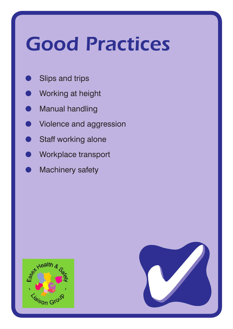# *Good Practices*

- **Slips and trips**
- Working at height
- **Manual handling**
- Violence and aggression
- Staff working alone
- **Workplace transport**
- **Machinery safety**



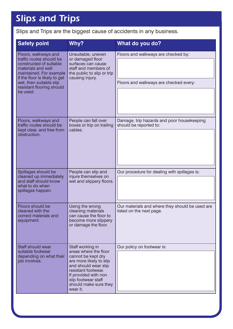## *Slips and Trips*

Slips and Trips are the biggest cause of accidents in any business.

| <b>Safety point</b>                                                                                                                                                                                                               | Why?                                                                                                                                                                                                                          | What do you do?                                                               |
|-----------------------------------------------------------------------------------------------------------------------------------------------------------------------------------------------------------------------------------|-------------------------------------------------------------------------------------------------------------------------------------------------------------------------------------------------------------------------------|-------------------------------------------------------------------------------|
| Floors, walkways and<br>traffic routes should be<br>constructed of suitable<br>materials and well<br>maintained. For example<br>if the floor is likely to get<br>wet, then suitable slip<br>resistant flooring should<br>be used. | Unsuitable, uneven<br>or damaged floor<br>surfaces can cause<br>staff and members of<br>the public to slip or trip<br>causing injury.                                                                                         | Floors and walkways are checked by:<br>Floors and walkways are checked every: |
| Floors, walkways and<br>traffic routes should be<br>kept clear, and free from<br>obstruction.                                                                                                                                     | People can fall over<br>boxes or trip on trailing<br>cables.                                                                                                                                                                  | Damage, trip hazards and poor housekeeping<br>should be reported to:          |
| Spillages should be<br>cleaned up immediately<br>and staff should know<br>what to do when<br>spillages happen.                                                                                                                    | People can slip and<br>injure themselves on<br>wet and slippery floors.                                                                                                                                                       | Our procedure for dealing with spillages is:                                  |
| Floors should be<br>cleaned with the<br>correct materials and<br>equipment.                                                                                                                                                       | Using the wrong<br>cleaning materials<br>can cause the floor to<br>become more slippery<br>or damage the floor.                                                                                                               | Our materials and where they should be used are<br>listed on the next page.   |
| Staff should wear<br>suitable footwear<br>depending on what their<br>job involves.                                                                                                                                                | Staff working in<br>areas where the floor<br>cannot be kept dry<br>are more likely to slip<br>and should wear slip<br>resistant footwear.<br>If provided with non<br>slip footwear staff<br>should make sure they<br>wear it. | Our policy on footwear is:                                                    |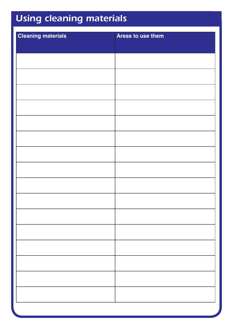## *Using cleaning materials*

| <b>Cleaning materials</b> | Areas to use them |
|---------------------------|-------------------|
|                           |                   |
|                           |                   |
|                           |                   |
|                           |                   |
|                           |                   |
|                           |                   |
|                           |                   |
|                           |                   |
|                           |                   |
|                           |                   |
|                           |                   |
|                           |                   |
|                           |                   |
|                           |                   |
|                           |                   |
|                           |                   |
|                           |                   |
|                           |                   |
|                           |                   |
|                           |                   |
|                           |                   |
|                           |                   |
|                           |                   |
|                           |                   |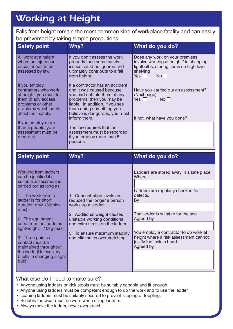## *Working at Height*

Falls from height remain the most common kind of workplace fatality and can easily be prevented by taking simple precautions.

| <b>Safety point</b>                                                                                                                                                                                                                                                                                                                                                                                    | Why?                                                                                                                                                                                                                                                  | What do you do?                                                                                                                                                                                                                                                                           |
|--------------------------------------------------------------------------------------------------------------------------------------------------------------------------------------------------------------------------------------------------------------------------------------------------------------------------------------------------------------------------------------------------------|-------------------------------------------------------------------------------------------------------------------------------------------------------------------------------------------------------------------------------------------------------|-------------------------------------------------------------------------------------------------------------------------------------------------------------------------------------------------------------------------------------------------------------------------------------------|
| All work at a height<br>where an injury can<br>occur, needs to be<br>assessed by law.                                                                                                                                                                                                                                                                                                                  | If you don't assess the work<br>properly then some safety<br>issues could be ignored and<br>ultimately contribute to a fall<br>from height.                                                                                                           | Does any work on your premises<br>involve working at height? ie changing<br>lightbulbs, storing items on high level<br>shelving<br>No <sub>1</sub><br>Yes $\Box$                                                                                                                          |
| If you employ<br>contractors who work<br>at height, you must tell<br>them of any access<br>problems or other<br>problems which could                                                                                                                                                                                                                                                                   | If a contractor has an accident<br>and it was caused because<br>you had not told them of any<br>problems, then you may be<br>liable. In addition, if you see<br>them doing something you                                                              | Have you carried out an assessment?<br>(Next page)<br>Yes $\Box$<br>No <sub>1</sub>                                                                                                                                                                                                       |
| affect their safety.                                                                                                                                                                                                                                                                                                                                                                                   | believe is dangerous, you must<br>inform them.                                                                                                                                                                                                        | If not, what have you done?                                                                                                                                                                                                                                                               |
| If you employ more<br>than 5 people, your<br>assessment must be<br>recorded.                                                                                                                                                                                                                                                                                                                           | The law requires that the<br>assessment must be recorded<br>if you employ more than 5<br>persons.                                                                                                                                                     |                                                                                                                                                                                                                                                                                           |
| <b>Safety point</b>                                                                                                                                                                                                                                                                                                                                                                                    | Why?                                                                                                                                                                                                                                                  | What do you do?                                                                                                                                                                                                                                                                           |
| <b>Working from ladders</b><br>can be justified if a<br>suitable assessment is<br>carried out as long as:<br>1. The work from a<br>ladder is for short<br>duration only. (30mins<br>max)<br>2. The equipment<br>used from the ladder is<br>lightweight. (10kg max)<br>3. Three points of<br>contact must be<br>maintained throughout<br>the work. (Unless very<br>briefly ie changing a light<br>bulb) | 1. Concentration levels are<br>reduced the longer a person<br>works up a ladder.<br>2. Additional weight causes<br>unstable working conditions<br>and extra stress on the ladder.<br>3. To ensure maximum stability<br>and eliminates overstretching. | Ladders are stored away in a safe place.<br>Where<br>Ladders are regularly checked for<br>defects.<br>By<br>The ladder is suitable for the task.<br>Agreed by<br>You employ a contractor to do work at<br>height where a risk assessment cannot<br>justify the task in hand.<br>Agreed by |

What else do I need to make sure?

- Anyone using ladders or kick stools must be suitably capable and fit enough.
- Anyone using ladders must be competent enough to do the work and to use the ladder.
- Leaning ladders must be suitably secured to prevent slipping or toppling.
- Suitable footwear must be worn when using ladders.
- Always move the ladder, never overstretch.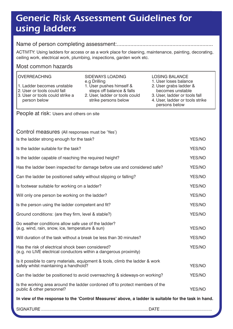## *Generic Risk Assessment Guidelines for using ladders*

#### Name of person completing assessment:................................................................

ACTIVITY: Using ladders for access or as a work place for cleaning, maintenance, painting, decorating, ceiling work, electrical work, plumbing, inspections, garden work etc.

#### Most common hazards

| <b>OVERREACHING</b><br>1. Ladder becomes unstable<br>2. User or tools could fall<br>3. User or tools could strike a<br>person below | <b>SIDEWAYS LOADING</b><br>e.g Drilling<br>1. User pushes himself &<br>steps off balance & falls<br>2. User, ladder or tools could<br>strike persons below | <b>LOSING BALANCE</b><br>1. User loses balance<br>2. User grabs ladder &<br>becomes unstable<br>3. User, ladder or tools fall<br>4. User, ladder or tools strike<br>persons below |  |  |  |
|-------------------------------------------------------------------------------------------------------------------------------------|------------------------------------------------------------------------------------------------------------------------------------------------------------|-----------------------------------------------------------------------------------------------------------------------------------------------------------------------------------|--|--|--|
| People at risk: Users and others on site                                                                                            |                                                                                                                                                            |                                                                                                                                                                                   |  |  |  |
|                                                                                                                                     |                                                                                                                                                            |                                                                                                                                                                                   |  |  |  |
| Control measures (All responses must be 'Yes')                                                                                      |                                                                                                                                                            |                                                                                                                                                                                   |  |  |  |
| Is the ladder strong enough for the task?                                                                                           |                                                                                                                                                            | YES/NO                                                                                                                                                                            |  |  |  |
| Is the ladder suitable for the task?                                                                                                |                                                                                                                                                            | YES/NO                                                                                                                                                                            |  |  |  |
| Is the ladder capable of reaching the required height?                                                                              |                                                                                                                                                            | YES/NO                                                                                                                                                                            |  |  |  |
|                                                                                                                                     | Has the ladder been inspected for damage before use and considered safe?                                                                                   |                                                                                                                                                                                   |  |  |  |
| Can the ladder be positioned safely without slipping or falling?<br>YES/NO                                                          |                                                                                                                                                            |                                                                                                                                                                                   |  |  |  |
| Is footwear suitable for working on a ladder?<br>YES/NO                                                                             |                                                                                                                                                            |                                                                                                                                                                                   |  |  |  |
| Will only one person be working on the ladder?<br>YES/NO                                                                            |                                                                                                                                                            |                                                                                                                                                                                   |  |  |  |
| Is the person using the ladder competent and fit?                                                                                   |                                                                                                                                                            |                                                                                                                                                                                   |  |  |  |
| Ground conditions: (are they firm, level & stable?)                                                                                 |                                                                                                                                                            |                                                                                                                                                                                   |  |  |  |
| Do weather conditions allow safe use of the ladder?<br>(e.g. wind, rain, snow, ice, temperature & sun)                              |                                                                                                                                                            |                                                                                                                                                                                   |  |  |  |
| Will duration of the task without a break be less than 30 minutes?                                                                  |                                                                                                                                                            |                                                                                                                                                                                   |  |  |  |
| Has the risk of electrical shock been considered?<br>(e.g. no LIVE electrical conductors within a dangerous proximity)              |                                                                                                                                                            |                                                                                                                                                                                   |  |  |  |
| Is it possible to carry materials, equipment & tools, climb the ladder & work<br>safely whilst maintaining a handhold?              |                                                                                                                                                            |                                                                                                                                                                                   |  |  |  |
| Can the ladder be positioned to avoid overreaching & sideways-on working?                                                           |                                                                                                                                                            |                                                                                                                                                                                   |  |  |  |
| Is the working area around the ladder cordoned off to protect members of the<br>YES/NO<br>public & other personnel?                 |                                                                                                                                                            |                                                                                                                                                                                   |  |  |  |
| In view of the response to the 'Control Measures' above, a ladder is suitable for the task in hand.                                 |                                                                                                                                                            |                                                                                                                                                                                   |  |  |  |

SIGNATURE ...........................................................................................DATE............................................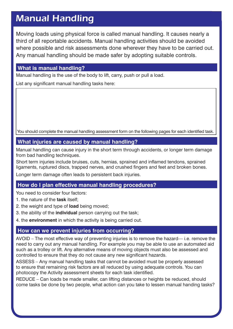### *Manual Handling*

Moving loads using physical force is called manual handling. It causes nearly a third of all reportable accidents. Manual handling activities should be avoided where possible and risk assessments done wherever they have to be carried out. Any manual handling should be made safer by adopting suitable controls.

#### **What is manual handling?**

Manual handling is the use of the body to lift, carry, push or pull a load.

List any significant manual handling tasks here:

You should complete the manual handling assessment form on the following pages for each identified task.

#### **What injuries are caused by manual handling?**

Manual handling can cause injury in the short term through accidents, or longer term damage from bad handling techniques.

Short term injuries include bruises, cuts, hernias, sprained and inflamed tendons, sprained ligaments, ruptured discs, trapped nerves, and crushed fingers and feet and broken bones.

Longer term damage often leads to persistent back injuries.

#### **How do I plan effective manual handling procedures?**

You need to consider four factors:

- 1. the nature of the **task** itself;
- 2. the weight and type of **load** being moved;
- 3. the ability of the **individual** person carrying out the task;
- 4. the **environment** in which the activity is being carried out.

#### **How can we prevent injuries from occurring?**

AVOID – The most effective way of preventing injuries is to remove the hazard— i.e. remove the need to carry out any manual handling. For example you may be able to use an automated aid such as a trolley or lift. Any alternative means of moving objects must also be assessed and controlled to ensure that they do not cause any new significant hazards.

ASSESS – Any manual handling tasks that cannot be avoided must be properly assessed to ensure that remaining risk factors are all reduced by using adequate controls. You can photocopy the Activity assessment sheets for each task identified.

REDUCE – Can loads be made smaller, can lifting distances or heights be reduced, should come tasks be done by two people, what action can you take to lessen manual handing tasks?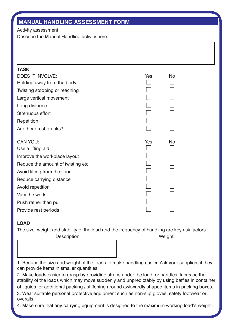#### **Manual Handling Assessment Form**

Activity assessment

Describe the Manual Handling activity here:

| <b>TASK</b>                       |     |           |  |
|-----------------------------------|-----|-----------|--|
| <b>DOES IT INVOLVE:</b>           | Yes | <b>No</b> |  |
| Holding away from the body        |     |           |  |
| Twisting stooping or reaching     |     |           |  |
| Large vertical movement           |     |           |  |
| Long distance                     |     |           |  |
| Strenuous effort                  |     |           |  |
| Repetition                        |     |           |  |
| Are there rest breaks?            |     |           |  |
|                                   |     |           |  |
|                                   |     |           |  |
| <b>CAN YOU:</b>                   | Yes | No        |  |
| Use a lifting aid                 |     |           |  |
| Improve the workplace layout      |     |           |  |
| Reduce the amount of twisting etc |     |           |  |
| Avoid lifting from the floor      |     |           |  |
| Reduce carrying distance          |     |           |  |
| Avoid repetition                  |     |           |  |
| Vary the work                     |     |           |  |
| Push rather than pull             |     |           |  |
| Provide rest periods              |     |           |  |

#### **LOAD**

The size, weight and stability of the load and the frequency of handling are key risk factors.

Description Weight

1. Reduce the size and weight of the loads to make handling easier. Ask your suppliers if they can provide items in smaller quantities.

2. Make loads easier to grasp by providing straps under the load, or handles. Increase the stability of the loads which may move suddenly and unpredictably by using baffles in container

of liquids, or additional packing / stiffening around awkwardly shaped items in packing boxes. 3. Wear suitable personal protective equipment such as non-slip gloves, safety footwear or overalls.

4. Make sure that any carrying equipment is designed to the maximum working load's weight.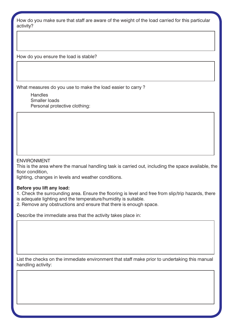How do you make sure that staff are aware of the weight of the load carried for this particular activity?

How do you ensure the load is stable?

What measures do you use to make the load easier to carry ?

**Handles** Smaller loads Personal protective clothing:

#### ENVIRONMENT

This is the area where the manual handling task is carried out, including the space available, the floor condition,

lighting, changes in levels and weather conditions.

#### **Before you lift any load:**

1. Check the surrounding area. Ensure the flooring is level and free from slip/trip hazards, there is adequate lighting and the temperature/humidity is suitable.

2. Remove any obstructions and ensure that there is enough space.

Describe the immediate area that the activity takes place in:

List the checks on the immediate environment that staff make prior to undertaking this manual handling activity: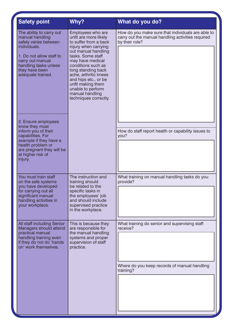| <b>Safety point</b>                                                                                                                                                                                  | Why?                                                                                                                                                                                                                                                                                                                                           | What do you do?                                                                                                          |
|------------------------------------------------------------------------------------------------------------------------------------------------------------------------------------------------------|------------------------------------------------------------------------------------------------------------------------------------------------------------------------------------------------------------------------------------------------------------------------------------------------------------------------------------------------|--------------------------------------------------------------------------------------------------------------------------|
| The ability to carry out<br>manual handling<br>safely varies between<br>individuals.<br>1. Do not allow staff to<br>carry out manual<br>handling tasks unless<br>they have been<br>adequate trained. | Employees who are<br>unfit are more likely<br>to suffer from a back<br>injury when carrying<br>out manual handling<br>tasks. Some staff<br>may have medical<br>conditions such as<br>long standing back<br>ache, arthritic knees<br>and hips etc., or be<br>unfit making them<br>unable to perform<br>manual handling<br>techniques correctly. | How do you make sure that individuals are able to<br>carry out the manual handling activities required<br>by their role? |
| 2. Ensure employees<br>know they must<br>inform you of their<br>capabilities. For<br>example if they have a<br>health problem or<br>are pregnant they will be<br>at higher risk of<br>injury.        |                                                                                                                                                                                                                                                                                                                                                | How do staff report health or capability issues to<br>you?                                                               |
| You must train staff<br>on the safe systems<br>you have developed<br>for carrying out all<br>significant manual<br>handling activities in<br>your workplace.                                         | The instruction and<br>training should<br>be related to the<br>specific tasks in<br>the employees' job<br>and should include<br>supervised practice<br>in the workplace.                                                                                                                                                                       | What training on manual handling tasks do you<br>provide?                                                                |
| All staff including Senior<br>Managers should attend<br>practical manual<br>handling training even<br>if they do not do 'hands<br>on' work themselves.                                               | This is because they<br>are responsible for<br>the manual handling<br>systems and proper<br>supervision of staff<br>practice.                                                                                                                                                                                                                  | What training do senior and supervising staff<br>receive?<br>Where do you keep records of manual handling<br>training?   |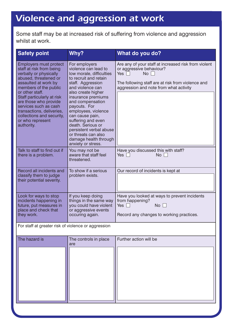## *Violence and aggression at work*

Some staff may be at increased risk of suffering from violence and aggression whilst at work.

| <b>Safety point</b>                                                                                                                                                                                                                                                                                                                                          | Why?                                                                                                                                                                                                                                                                                                                                                                                                      | What do you do?                                                                                                                                                                                                  |
|--------------------------------------------------------------------------------------------------------------------------------------------------------------------------------------------------------------------------------------------------------------------------------------------------------------------------------------------------------------|-----------------------------------------------------------------------------------------------------------------------------------------------------------------------------------------------------------------------------------------------------------------------------------------------------------------------------------------------------------------------------------------------------------|------------------------------------------------------------------------------------------------------------------------------------------------------------------------------------------------------------------|
| <b>Employers must protect</b><br>staff at risk from being<br>verbally or physically<br>abused, threatened or<br>assaulted at work by<br>members of the public<br>or other staff.<br>Staff particularly at risk<br>are those who provide<br>services such as cash<br>transactions, deliveries,<br>collections and security,<br>or who represent<br>authority. | For employers<br>violence can lead to<br>low morale, difficulties<br>to recruit and retain<br>staff. Aggression<br>and violence can<br>also create higher<br>insurance premiums<br>and compensation<br>payouts. For<br>employees, violence<br>can cause pain,<br>suffering and even<br>death. Serious or<br>persistent verbal abuse<br>or threats can also<br>damage health through<br>anxiety or stress. | Are any of your staff at increased risk from violent<br>or aggressive behaviour?<br>Yes $\Box$<br>No <sub>1</sub><br>The following staff are at risk from violence and<br>aggression and note from what activity |
| Talk to staff to find out if<br>there is a problem.                                                                                                                                                                                                                                                                                                          | You may not be<br>aware that staff feel<br>threatened.                                                                                                                                                                                                                                                                                                                                                    | Have you discussed this with staff?<br>Yes $\Box$<br>No.                                                                                                                                                         |
| Record all incidents and<br>classify them to judge<br>their potential severity.                                                                                                                                                                                                                                                                              | To show if a serious<br>problem exists.                                                                                                                                                                                                                                                                                                                                                                   | Our record of incidents is kept at                                                                                                                                                                               |
| Look for ways to stop<br>incidents happening in<br>future, put measures in<br>place and check that<br>they work.                                                                                                                                                                                                                                             | If you keep doing<br>things in the same way<br>you could have violent<br>or aggressive events<br>occuring again.                                                                                                                                                                                                                                                                                          | Have you looked at ways to prevent incidents<br>from happening?<br>Yes $\Box$<br>$No \ \Box$<br>Record any changes to working practices.                                                                         |
| For staff at greater risk of violence or aggression                                                                                                                                                                                                                                                                                                          |                                                                                                                                                                                                                                                                                                                                                                                                           |                                                                                                                                                                                                                  |
| The hazard is                                                                                                                                                                                                                                                                                                                                                | The controls in place<br>are                                                                                                                                                                                                                                                                                                                                                                              | Further action will be                                                                                                                                                                                           |
|                                                                                                                                                                                                                                                                                                                                                              |                                                                                                                                                                                                                                                                                                                                                                                                           |                                                                                                                                                                                                                  |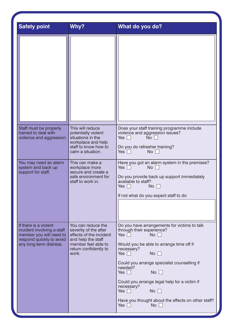| <b>Safety point</b>                                                                                                                   | Why?                                                                                                                                                  | What do you do?                                                                                                                                                                                                                                                                                                                                                                                                                                          |
|---------------------------------------------------------------------------------------------------------------------------------------|-------------------------------------------------------------------------------------------------------------------------------------------------------|----------------------------------------------------------------------------------------------------------------------------------------------------------------------------------------------------------------------------------------------------------------------------------------------------------------------------------------------------------------------------------------------------------------------------------------------------------|
|                                                                                                                                       |                                                                                                                                                       |                                                                                                                                                                                                                                                                                                                                                                                                                                                          |
| Staff must be properly<br>trained to deal with<br>violence and aggression.                                                            | This will reduce<br>potentially violent<br>situations in the<br>workplace and help<br>staff to know how to<br>calm a situation.                       | Does your staff training programme include<br>violence and aggression issues?<br>Yes $\Box$<br>$No$ $\vert \ \vert$<br>Do you do refresher training?<br>Yes $\Box$<br>$No \ \Box$                                                                                                                                                                                                                                                                        |
| You may need an alarm<br>system and back up<br>support for staff.                                                                     | This can make a<br>workplace more<br>secure and create a<br>safe environment for<br>staff to work in.                                                 | Have you got an alarm system in the premises?<br>Yes $\Box$<br>No<br>Do you provide back up support immediately<br>available to staff?<br>Yes<br>No <sub>1</sub><br>If not what do you expect staff to do                                                                                                                                                                                                                                                |
| If there is a violent<br>incident involving a staff<br>member you will need to<br>respond quickly to avoid<br>any long-term distress. | You can reduce the<br>severity of the after<br>effects of the incident<br>and help the staff<br>member feel able to<br>return confidently to<br>work. | Do you have arrangements for victims to talk<br>through their experience?<br>Yes $\Box$<br>No <sub>1</sub><br>Would you be able to arrange time off if<br>necessary?<br>Yes $\Box$<br>No <sub>1</sub><br>Could you arrange specialist counselling if<br>needed?<br>Yes $\Box$<br>$No$ $\Box$<br>Could you arrange legal help for a victim if<br>necessary?<br>Yes $\Box$<br>No<br>Have you thought about the effects on other staff?<br>Yes $\Box$<br>No |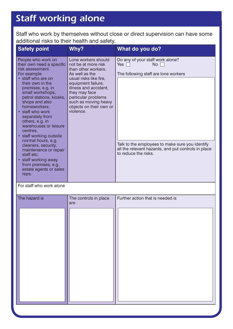## *Staff working alone*

Staff who work by themselves without close or direct supervision can have some additional risks to their health and safety.

| <b>Safety point</b>                                                                                                                                                                                                                                                                                                                                                                                                                                                                                                                 | Why?                                                                                                                                                                                                                                                                 | What do you do?                                                                                                                                                                                                             |
|-------------------------------------------------------------------------------------------------------------------------------------------------------------------------------------------------------------------------------------------------------------------------------------------------------------------------------------------------------------------------------------------------------------------------------------------------------------------------------------------------------------------------------------|----------------------------------------------------------------------------------------------------------------------------------------------------------------------------------------------------------------------------------------------------------------------|-----------------------------------------------------------------------------------------------------------------------------------------------------------------------------------------------------------------------------|
| People who work on<br>their own need a specific<br>risk assessment.<br>For example<br>• staff who are on<br>their own in the<br>premises, e.g. in<br>small workshops,<br>petrol stations, kiosks,<br>shops and also<br>homeworkers:<br>• staff who work<br>separately from<br>others, e.g. in<br>warehouses or leisure<br>centres.<br>• staff working outside<br>normal hours, e.g.<br>cleaners, security,<br>maintenance or repair<br>staff etc:<br>• staff working away<br>from premises, e.g.<br>estate agents or sales<br>reps. | Lone workers should<br>not be at more risk<br>than other workers.<br>As well as the<br>usual risks like fire,<br>equipment failure,<br>illness and accident,<br>they may face<br>particular problems<br>such as moving heavy<br>objects on their own or<br>violence. | Do any of your staff work alone?<br>Yes I<br>No l<br>The following staff are lone workers<br>Talk to the employees to make sure you identify<br>all the relevant hazards, and put controls in place<br>to reduce the risks. |

For staff who work alone

| The controls in place<br>are | Further action that is needed is |
|------------------------------|----------------------------------|
|                              |                                  |
|                              |                                  |
|                              |                                  |
|                              |                                  |
|                              |                                  |
|                              |                                  |
|                              |                                  |
|                              |                                  |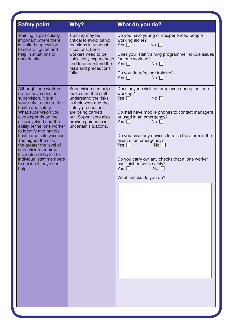| <b>Safety point</b>                                                                                                                                                                                                                                                                                                                                                                                                                                                | Why?                                                                                                                                                                                                              | What do you do?                                                                                                                                                                                                                                                                                                                                                                                                                                 |
|--------------------------------------------------------------------------------------------------------------------------------------------------------------------------------------------------------------------------------------------------------------------------------------------------------------------------------------------------------------------------------------------------------------------------------------------------------------------|-------------------------------------------------------------------------------------------------------------------------------------------------------------------------------------------------------------------|-------------------------------------------------------------------------------------------------------------------------------------------------------------------------------------------------------------------------------------------------------------------------------------------------------------------------------------------------------------------------------------------------------------------------------------------------|
| Training is particularly<br>important where there<br>is limited supervision<br>to control, guide and<br>help in situations of<br>uncertainty.                                                                                                                                                                                                                                                                                                                      | Training may be<br>critical to avoid panic<br>reactions in unusual<br>situations. Lone<br>workers need to be<br>sufficiently experienced<br>and to understand the<br>risks and precautions<br>fully.              | Do you have young or inexperienced people<br>working alone?<br>Yes $\Box$<br>$No \ \Box$<br>Does your staff training programme include issues<br>for lone working?<br>No <sub>1</sub><br>Yes $\Box$<br>Do you do refresher training?<br>Yes $\Box$<br>$No \ \Box$                                                                                                                                                                               |
| Although lone workers<br>do not have constant<br>supervision, it is still<br>your duty to ensure their<br>health and safety.<br>What supervision you<br>give depends on the<br>risks involved and the<br>ability of the lone worker<br>to identify and handle<br>health and safety issues.<br>The higher the risk,<br>the greater the level of<br>supervision required.<br>It should not be left to<br>individual staff members<br>to decide if they need<br>help. | Supervision can help<br>make sure that staff<br>understand the risks<br>in their work and the<br>safety precautions<br>are being carried<br>out. Supervisors also<br>provide guidance in<br>uncertain situations. | Does anyone visit the employee during the lone<br>working?<br>Yes $\Box$<br>$No \ \Box$<br>Do staff have mobile phones to contact managers<br>or used in an emergency?<br>No <sub>1</sub><br>Yes $\Box$<br>Do you have any devices to raise the alarm in the<br>event of an emergency?<br>Yes $\Box$<br>No<br>Do you carry out any checks that a lone worker<br>has finished work safely?<br>Yes $\vert \vert$<br>No<br>What checks do you do?: |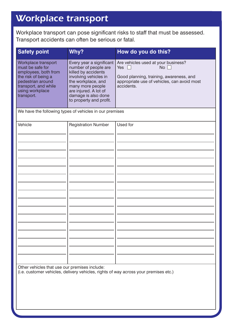## *Workplace transport*

Workplace transport can pose significant risks to staff that must be assessed. Transport accidents can often be serious or fatal.

| <b>Safety point</b>                                                                                                                                                  | Why?                                                                                                                                                                                                                  | How do you do this?                                                                                                                                                    |
|----------------------------------------------------------------------------------------------------------------------------------------------------------------------|-----------------------------------------------------------------------------------------------------------------------------------------------------------------------------------------------------------------------|------------------------------------------------------------------------------------------------------------------------------------------------------------------------|
| Workplace transport<br>must be safe for<br>employees, both from<br>the risk of being a<br>pedestrian around<br>transport, and while<br>using workplace<br>transport. | Every year a significant<br>number of people are<br>killed by accidents<br>involving vehicles in<br>the workplace, and<br>many more people<br>are injured. A lot of<br>damage is also done<br>to property and profit. | Are vehicles used at your business?<br>No $\Box$<br>Yes $\Box$<br>Good planning, training, awareness, and<br>appropriate use of vehicles, can avoid most<br>accidents. |
| We have the following types of vehicles in our premises                                                                                                              |                                                                                                                                                                                                                       |                                                                                                                                                                        |
| Vehicle                                                                                                                                                              | <b>Registration Number</b>                                                                                                                                                                                            | Used for                                                                                                                                                               |

Other vehicles that use our premises include:

(i.e. customer vehicles, delivery vehicles, rights of way across your premises etc.)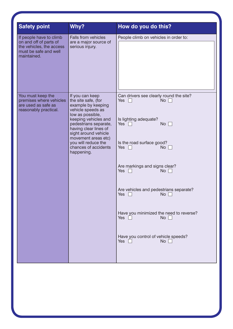| <b>Safety point</b>                                                                                                   | Why?                                                                                                                                                                                                                                                                                        | How do you do this?                                                                                                                                                                                                                                                                                                                                                                                                                               |
|-----------------------------------------------------------------------------------------------------------------------|---------------------------------------------------------------------------------------------------------------------------------------------------------------------------------------------------------------------------------------------------------------------------------------------|---------------------------------------------------------------------------------------------------------------------------------------------------------------------------------------------------------------------------------------------------------------------------------------------------------------------------------------------------------------------------------------------------------------------------------------------------|
| If people have to climb<br>on and off of parts of<br>the vehicles, the access<br>must be safe and well<br>maintained. | <b>Falls from vehicles</b><br>are a major source of<br>serious injury.                                                                                                                                                                                                                      | People climb on vehicles in order to:                                                                                                                                                                                                                                                                                                                                                                                                             |
| You must keep the<br>premises where vehicles<br>are used as safe as<br>reasonably practical.                          | If you can keep<br>the site safe, (for<br>example by keeping<br>vehicle speeds as<br>low as possible,<br>keeping vehicles and<br>pedestrians separate,<br>having clear lines of<br>sight around vehicle<br>movement areas etc)<br>you will reduce the<br>chances of accidents<br>happening. | Can drivers see clearly round the site?<br>Yes $\Box$<br>No<br>Is lighting adequate?<br>Yes<br>No <sub>1</sub><br>Is the road surface good?<br>Yes<br>No <sub>1</sub><br>$\mathbf{I}$<br>Are markings and signs clear?<br>Yes<br>No<br>$\mathbf{L}$<br>Are vehicles and pedestrians separate?<br>Yes<br>No <sub>1</sub><br>Have you minimized the need to reverse?<br><b>Yes</b><br>No<br>Have you control of vehicle speeds?<br><b>Yes</b><br>No |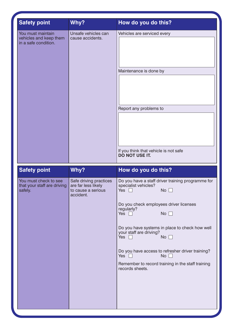| <b>Safety point</b>                                                 | Why?                                                                             | How do you do this?                                                                                                                                                                                                                                                                                                                                                                                                                                    |  |
|---------------------------------------------------------------------|----------------------------------------------------------------------------------|--------------------------------------------------------------------------------------------------------------------------------------------------------------------------------------------------------------------------------------------------------------------------------------------------------------------------------------------------------------------------------------------------------------------------------------------------------|--|
| You must maintain<br>vehicles and keep them<br>in a safe condition. | Unsafe vehicles can<br>cause accidents.                                          | Vehicles are serviced every<br>Maintenance is done by<br>Report any problems to<br>If you think that vehicle is not safe<br><b>DO NOT USE IT.</b>                                                                                                                                                                                                                                                                                                      |  |
| <b>Safety point</b>                                                 | Why?                                                                             | How do you do this?                                                                                                                                                                                                                                                                                                                                                                                                                                    |  |
| You must check to see<br>that your staff are driving<br>safely.     | Safe driving practices<br>are far less likely<br>to cause a serious<br>accident. | Do you have a staff driver training programme for<br>specialist vehicles?<br>Yes $\Box$<br>No<br>Do you check employees driver licenses<br>regularly?<br>No $\square$<br>Yes $\Box$<br>Do you have systems in place to check how well<br>your staff are driving?<br>Yes $\Box$<br>$No$ $\Box$<br>Do you have access to refresher driver training?<br>Yes $\Box$<br>$No$ $\Box$<br>Remember to record training in the staff training<br>records sheets. |  |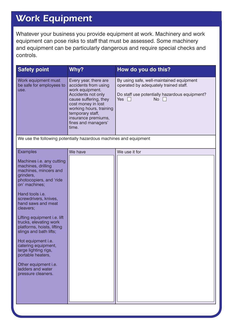## *Work Equipment*

Whatever your business you provide equipment at work. Machinery and work equipment can pose risks to staff that must be assessed. Some machinery and equipment can be particularly dangerous and require special checks and controls.

| <b>Safety point</b>                                                                                           | Why?                                                                                                                                                                                                                                        | How do you do this?                                                                                                                             |  |  |
|---------------------------------------------------------------------------------------------------------------|---------------------------------------------------------------------------------------------------------------------------------------------------------------------------------------------------------------------------------------------|-------------------------------------------------------------------------------------------------------------------------------------------------|--|--|
| Work equipment must<br>be safe for employees to<br>use.                                                       | Every year, there are<br>accidents from using<br>work equipment.<br>Accidents not only<br>cause suffering, they<br>cost money in lost<br>working hours, training<br>temporary staff,<br>insurance premiums,<br>fines and managers'<br>time. | By using safe, well-maintained equipment<br>operated by adequately trained staff.<br>Do staff use potentially hazardous equipment?<br>Yes<br>No |  |  |
| We use the following potentially hazardous machines and equipment                                             |                                                                                                                                                                                                                                             |                                                                                                                                                 |  |  |
| <b>Examples</b><br>Machines i.e. any cutting                                                                  | We have                                                                                                                                                                                                                                     | We use it for                                                                                                                                   |  |  |
| machines, drilling<br>machines, mincers and<br>grinders,<br>photocopiers, and 'ride<br>on' machines;          |                                                                                                                                                                                                                                             |                                                                                                                                                 |  |  |
| Hand tools i.e.<br>screwdrivers, knives,<br>hand saws and meat<br>cleavers;                                   |                                                                                                                                                                                                                                             |                                                                                                                                                 |  |  |
| Lifting equipment i.e. lift<br>trucks, elevating work<br>platforms, hoists, lifting<br>slings and bath lifts; |                                                                                                                                                                                                                                             |                                                                                                                                                 |  |  |
| Hot equipment i.e.<br>catering equipment,<br>large lighting rigs,<br>portable heaters,                        |                                                                                                                                                                                                                                             |                                                                                                                                                 |  |  |
| Other equipment i.e.<br>ladders and water<br>pressure cleaners.                                               |                                                                                                                                                                                                                                             |                                                                                                                                                 |  |  |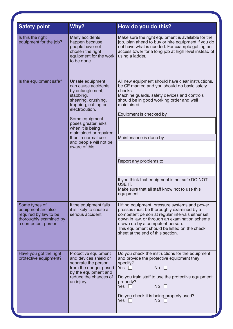| <b>Safety point</b>                                                                                           | Why?                                                                                                                                                                               | How do you do this?                                                                                                                                                                                                                                                                                                     |  |  |
|---------------------------------------------------------------------------------------------------------------|------------------------------------------------------------------------------------------------------------------------------------------------------------------------------------|-------------------------------------------------------------------------------------------------------------------------------------------------------------------------------------------------------------------------------------------------------------------------------------------------------------------------|--|--|
| Is this the right<br>equipment for the job?                                                                   | Many accidents<br>happen because<br>people have not<br>chosen the right<br>equipment for the work<br>to be done.                                                                   | Make sure the right equipment is available for the<br>job, plan ahead to buy or hire equipment if you do<br>not have what is needed. For example getting an<br>access tower for a long job at high level instead of<br>using a ladder.                                                                                  |  |  |
| Is the equipment safe?                                                                                        | Unsafe equipment<br>can cause accidents<br>by entanglement,<br>stabbing,<br>shearing, crushing,<br>trapping, cutting or<br>electrocution.<br>Some equipment<br>poses greater risks | All new equipment should have clear instructions,<br>be CE marked and you should do basic safety<br>checks.<br>Machine guards, safety devices and controls<br>should be in good working order and well<br>maintained.<br>Equipment is checked by                                                                        |  |  |
|                                                                                                               | when it is being<br>maintained or repaired<br>then in normal use<br>and people will not be<br>aware of this                                                                        | Maintenance is done by                                                                                                                                                                                                                                                                                                  |  |  |
|                                                                                                               |                                                                                                                                                                                    | Report any problems to                                                                                                                                                                                                                                                                                                  |  |  |
|                                                                                                               |                                                                                                                                                                                    | If you think that equipment is not safe DO NOT<br>USE IT.<br>Make sure that all staff know not to use this<br>equipment.                                                                                                                                                                                                |  |  |
| Some types of<br>equipment are also<br>required by law to be<br>thoroughly examined by<br>a competent person. | If the equipment fails<br>it is likely to cause a<br>serious accident.                                                                                                             | Lifting equipment, pressure systems and power<br>presses must be thoroughly examined by a<br>competent person at regular intervals either set<br>down in law, or through an examination scheme<br>drawn up by a competent person.<br>This equipment should be listed on the check<br>sheet at the end of this section.  |  |  |
| Have you got the right<br>protective equipment?                                                               | Protective equipment<br>and devices shield or<br>separate the person<br>from the danger posed<br>by the equipment and<br>reduce the chances of<br>an injury.                       | Do you check the instructions for the equipment<br>and provide the protective equipment they<br>specify?<br>Yes $\Box$<br>$No$ $\Box$<br>Do you train staff to use the protective equipment<br>properly?<br>Yes $\square$<br>No <sub>1</sub><br>Do you check it is being properly used?<br>Yes $\Box$<br>$No \ \square$ |  |  |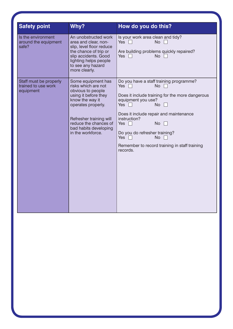| <b>Safety point</b>                                        | Why?                                                                                                                                                                                                                              | How do you do this?                                                                                                                                                                                                                                                                                                                                                           |
|------------------------------------------------------------|-----------------------------------------------------------------------------------------------------------------------------------------------------------------------------------------------------------------------------------|-------------------------------------------------------------------------------------------------------------------------------------------------------------------------------------------------------------------------------------------------------------------------------------------------------------------------------------------------------------------------------|
| Is the environment<br>around the equipment<br>safe?        | An unobstructed work<br>area and clear, non-<br>slip, level floor reduce<br>the chance of trip or<br>slip accidents. Good<br>lighting helps people<br>to see any hazard<br>more clearly.                                          | Is your work area clean and tidy?<br>Yes $\Box$<br>No<br>Are building problems quickly repaired?<br>Yes  <br><b>No</b>                                                                                                                                                                                                                                                        |
| Staff must be properly<br>trained to use work<br>equipment | Some equipment has<br>risks which are not<br>obvious to people<br>using it before they<br>know the way it<br>operates properly.<br>Refresher training will<br>reduce the chances of<br>bad habits developing<br>in the workforce. | Do you have a staff training programme?<br>Yes $\Box$<br><b>No</b><br>Does it include training for the more dangerous<br>equipment you use?<br>Yes $\Box$<br>No<br>Does it include repair and maintenance<br>instruction?<br><b>No</b><br>Yes $\Box$<br>Do you do refresher training?<br>Yes $\Box$<br><b>No</b><br>Remember to record training in staff training<br>records. |